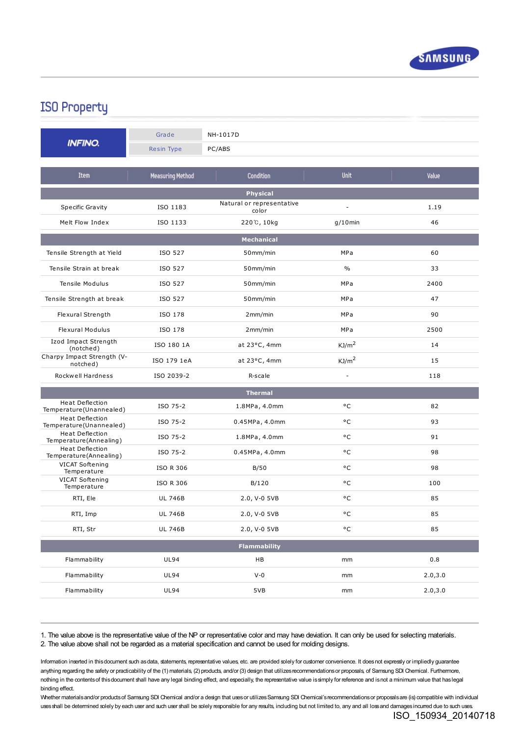

## **ISO Property**

|                                                   | Grade                   | NH-1017D                           |                   |          |
|---------------------------------------------------|-------------------------|------------------------------------|-------------------|----------|
| <b>INFINO.</b>                                    | Resin Type              | PC/ABS                             |                   |          |
|                                                   |                         |                                    |                   |          |
| <b>Item</b>                                       | <b>Measuring Method</b> | Condition                          | Unit              | Value    |
| <b>Physical</b>                                   |                         |                                    |                   |          |
| Specific Gravity                                  | ISO 1183                | Natural or representative<br>color |                   | 1.19     |
| Melt Flow Index                                   | ISO 1133                | 220℃, 10kg                         | $q/10$ min        | 46       |
| <b>Mechanical</b>                                 |                         |                                    |                   |          |
| Tensile Strength at Yield                         | ISO 527                 | 50mm/min                           | MPa               | 60       |
| Tensile Strain at break                           | ISO 527                 | 50mm/min                           | $\frac{0}{0}$     | 33       |
| Tensile Modulus                                   | ISO 527                 | 50mm/min                           | MPa               | 2400     |
| Tensile Strength at break                         | ISO 527                 | 50mm/min                           | MPa               | 47       |
| Flexural Strength                                 | ISO 178                 | 2mm/min                            | MPa               | 90       |
| <b>Flexural Modulus</b>                           | ISO 178                 | 2mm/min                            | MPa               | 2500     |
| Izod Impact Strength<br>(notched)                 | ISO 180 1A              | at 23°C, 4mm                       | KJ/m <sup>2</sup> | 14       |
| Charpy Impact Strength (V-<br>notched)            | ISO 179 1eA             | at 23°C, 4mm                       | KJ/m <sup>2</sup> | 15       |
| Rockwell Hardness                                 | ISO 2039-2              | R-scale                            | $\frac{1}{2}$     | 118      |
| <b>Thermal</b>                                    |                         |                                    |                   |          |
| <b>Heat Deflection</b><br>Temperature(Unannealed) | ISO 75-2                | 1.8MPa, 4.0mm                      | °C                | 82       |
| Heat Deflection<br>Temperature(Unannealed)        | ISO 75-2                | 0.45MPa, 4.0mm                     | ۰c                | 93       |
| Heat Deflection<br>Temperature(Annealing)         | ISO 75-2                | 1.8MPa, 4.0mm                      | ۰c                | 91       |
| Heat Deflection<br>Temperature (Annealing)        | ISO 75-2                | 0.45MPa, 4.0mm                     | ۰c                | 98       |
| VICAT Softening<br>Temperature                    | <b>ISO R 306</b>        | B/50                               | ۰c                | 98       |
| VICAT Softening<br>Temperature                    | <b>ISO R 306</b>        | B/120                              | ۰c                | 100      |
| RTI, Ele                                          | <b>UL 746B</b>          | 2.0, V-0 5VB                       | ۰c                | 85       |
| RTI, Imp                                          | <b>UL 746B</b>          | 2.0, V-0 5VB                       | ۰c                | 85       |
| RTI, Str                                          | <b>UL 746B</b>          | 2.0, V-0 5VB                       | ۰c                | 85       |
| <b>Flammability</b>                               |                         |                                    |                   |          |
| Flammability                                      | <b>UL94</b>             | HB                                 | mm                | 0.8      |
| Flammability                                      | <b>UL94</b>             | $V-0$                              | mm                | 2.0, 3.0 |
| Flammability                                      | <b>UL94</b>             | 5VB                                | mm                | 2.0, 3.0 |
|                                                   |                         |                                    |                   |          |

1. The value above is the representative value of the NP or representative color and may have deviation. It can only be used for selecting materials. 2. The value above shall not be regarded as a material specification and cannot be used for molding designs.

Information inserted in this document such as data, statements, representative values, etc. are provided solely for customer convenience. It does not expressly or impliedly guarantee anything regarding the safety or practicability of the (1) materials, (2) products, and/or (3) design that utilizesrecommendationsor proposals, of Samsung SDI Chemical. Furthermore, nothing in the contentsof thisdocument shall have any legal binding effect, and especially, the representative value issimply for reference and isnot a minimum value that haslegal binding effect.

Whether materials and/or products of Samsung SDI Chemical and/or a design that uses or utilizes Samsung SDI Chemical's recommendations or proposals are (is) compatible with individual uses shall be determined solely by each user and such user shall be solely responsible for any results, including but not limited to, any and all loss and damages incurred due to such uses.